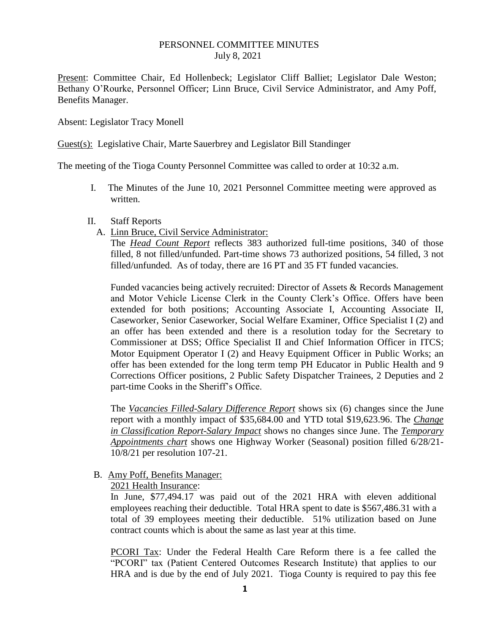#### PERSONNEL COMMITTEE MINUTES July 8, 2021

Present: Committee Chair, Ed Hollenbeck; Legislator Cliff Balliet; Legislator Dale Weston; Bethany O'Rourke, Personnel Officer; Linn Bruce, Civil Service Administrator, and Amy Poff, Benefits Manager.

Absent: Legislator Tracy Monell

Guest(s): Legislative Chair, Marte Sauerbrey and Legislator Bill Standinger

The meeting of the Tioga County Personnel Committee was called to order at 10:32 a.m.

I. The Minutes of the June 10, 2021 Personnel Committee meeting were approved as written.

#### II. Staff Reports

A. Linn Bruce, Civil Service Administrator:

The *Head Count Report* reflects 383 authorized full-time positions, 340 of those filled, 8 not filled/unfunded. Part-time shows 73 authorized positions, 54 filled, 3 not filled/unfunded. As of today, there are 16 PT and 35 FT funded vacancies.

Funded vacancies being actively recruited: Director of Assets & Records Management and Motor Vehicle License Clerk in the County Clerk's Office. Offers have been extended for both positions; Accounting Associate I, Accounting Associate II, Caseworker, Senior Caseworker, Social Welfare Examiner, Office Specialist I (2) and an offer has been extended and there is a resolution today for the Secretary to Commissioner at DSS; Office Specialist II and Chief Information Officer in ITCS; Motor Equipment Operator I (2) and Heavy Equipment Officer in Public Works; an offer has been extended for the long term temp PH Educator in Public Health and 9 Corrections Officer positions, 2 Public Safety Dispatcher Trainees, 2 Deputies and 2 part-time Cooks in the Sheriff's Office.

The *Vacancies Filled-Salary Difference Report* shows six (6) changes since the June report with a monthly impact of \$35,684.00 and YTD total \$19,623.96. The *Change in Classification Report-Salary Impact* shows no changes since June. The *Temporary Appointments chart* shows one Highway Worker (Seasonal) position filled 6/28/21- 10/8/21 per resolution 107-21.

### B. Amy Poff, Benefits Manager:

2021 Health Insurance:

In June, \$77,494.17 was paid out of the 2021 HRA with eleven additional employees reaching their deductible. Total HRA spent to date is \$567,486.31 with a total of 39 employees meeting their deductible. 51% utilization based on June contract counts which is about the same as last year at this time.

PCORI Tax: Under the Federal Health Care Reform there is a fee called the "PCORI" tax (Patient Centered Outcomes Research Institute) that applies to our HRA and is due by the end of July 2021. Tioga County is required to pay this fee